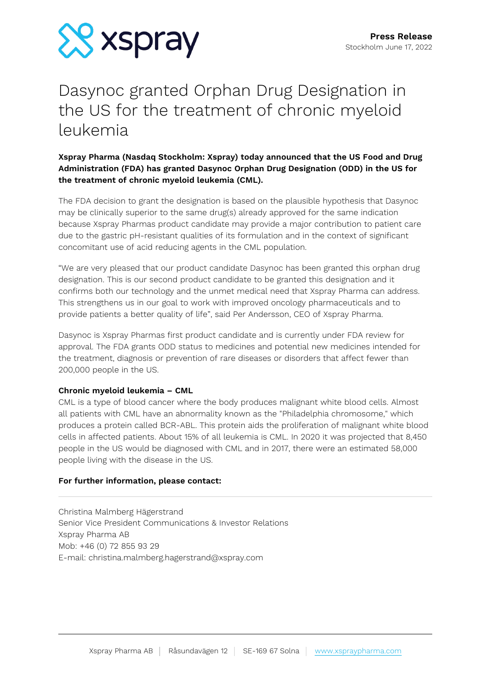

# Dasynoc granted Orphan Drug Designation in the US for the treatment of chronic myeloid leukemia

# **Xspray Pharma (Nasdaq Stockholm: Xspray) today announced that the US Food and Drug Administration (FDA) has granted Dasynoc Orphan Drug Designation (ODD) in the US for the treatment of chronic myeloid leukemia (CML).**

The FDA decision to grant the designation is based on the plausible hypothesis that Dasynoc may be clinically superior to the same drug(s) already approved for the same indication because Xspray Pharmas product candidate may provide a major contribution to patient care due to the gastric pH-resistant qualities of its formulation and in the context of significant concomitant use of acid reducing agents in the CML population.

"We are very pleased that our product candidate Dasynoc has been granted this orphan drug designation. This is our second product candidate to be granted this designation and it confirms both our technology and the unmet medical need that Xspray Pharma can address. This strengthens us in our goal to work with improved oncology pharmaceuticals and to provide patients a better quality of life", said Per Andersson, CEO of Xspray Pharma.

Dasynoc is Xspray Pharmas first product candidate and is currently under FDA review for approval. The FDA grants ODD status to medicines and potential new medicines intended for the treatment, diagnosis or prevention of rare diseases or disorders that affect fewer than 200,000 people in the US.

## **Chronic myeloid leukemia – CML**

CML is a type of blood cancer where the body produces malignant white blood cells. Almost all patients with CML have an abnormality known as the "Philadelphia chromosome," which produces a protein called BCR-ABL. This protein aids the proliferation of malignant white blood cells in affected patients. About 15% of all leukemia is CML. In 2020 it was projected that 8,450 people in the US would be diagnosed with CML and in 2017, there were an estimated 58,000 people living with the disease in the US.

## **For further information, please contact:**

Christina Malmberg Hägerstrand Senior Vice President Communications & Investor Relations Xspray Pharma AB Mob: +46 (0) 72 855 93 29 E-mail: christina.malmberg.hagerstrand@xspray.com